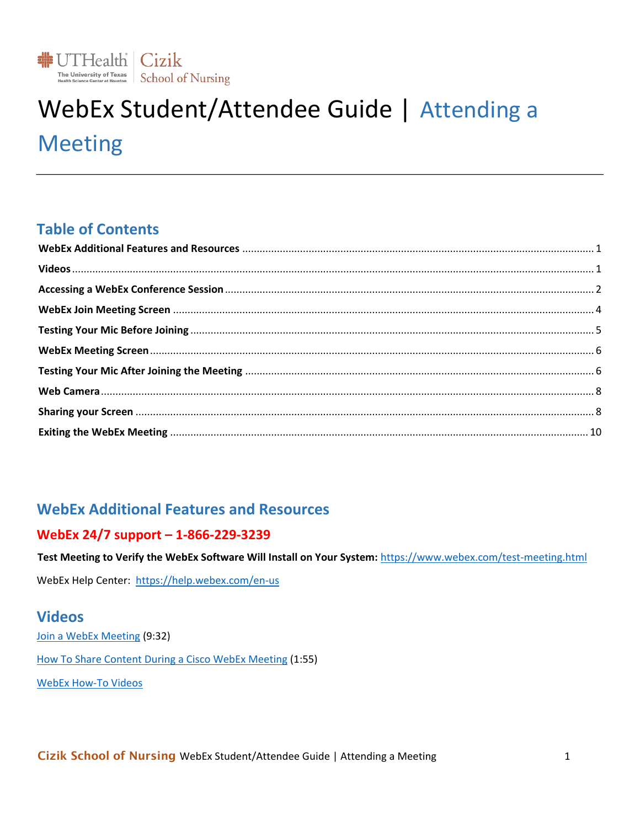

# WebEx Student/Attendee Guide | Attending a **Meeting**

## **Table of Contents**

# <span id="page-0-0"></span>**WebEx Additional Features and Resources**

#### WebEx 24/7 support - 1-866-229-3239

Test Meeting to Verify the WebEx Software Will Install on Your System: https://www.webex.com/test-meeting.html

WebEx Help Center: https://help.webex.com/en-us

### <span id="page-0-1"></span>**Videos**

Join a WebEx Meeting (9:32) How To Share Content During a Cisco WebEx Meeting (1:55) **WebEx How-To Videos**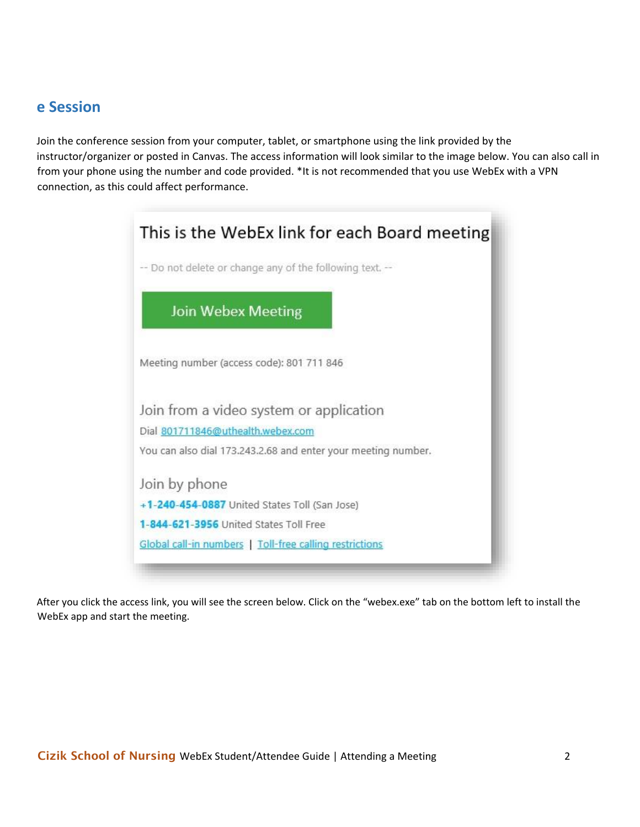### <span id="page-1-0"></span>**e Session**

Join the conference session from your computer, tablet, or smartphone using the link provided by the instructor/organizer or posted in Canvas. The access information will look similar to the image below. You can also call in from your phone using the number and code provided. \*It is not recommended that you use WebEx with a VPN connection, as this could affect performance.

| -- Do not delete or change any of the following text. --<br><b>Join Webex Meeting</b><br>Meeting number (access code): 801 711 846<br>Join from a video system or application<br>Dial 801711846@uthealth.webex.com |
|--------------------------------------------------------------------------------------------------------------------------------------------------------------------------------------------------------------------|
|                                                                                                                                                                                                                    |
|                                                                                                                                                                                                                    |
|                                                                                                                                                                                                                    |
|                                                                                                                                                                                                                    |
|                                                                                                                                                                                                                    |
| You can also dial 173.243.2.68 and enter your meeting number.                                                                                                                                                      |
| Join by phone                                                                                                                                                                                                      |
| +1-240-454-0887 United States Toll (San Jose)                                                                                                                                                                      |
| 1-844-621-3956 United States Toll Free                                                                                                                                                                             |
| Global call-in numbers   Toll-free calling restrictions                                                                                                                                                            |

After you click the access link, you will see the screen below. Click on the "webex.exe" tab on the bottom left to install the WebEx app and start the meeting.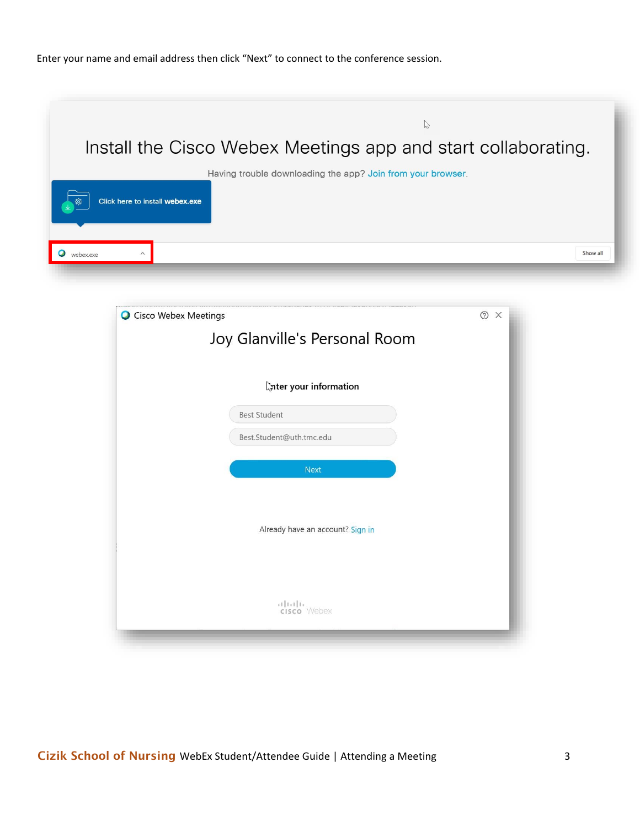Enter your name and email address then click "Next" to connect to the conference session.

| $\heartsuit$                                                                                           |
|--------------------------------------------------------------------------------------------------------|
| Install the Cisco Webex Meetings app and start collaborating.                                          |
| Having trouble downloading the app? Join from your browser.<br>දුරු<br>Click here to install webex.exe |
| Show all<br>$\wedge$<br>webex.exe                                                                      |

| O Cisco Webex Meetings           | $^{\circ}$<br>$\times$ |
|----------------------------------|------------------------|
| Joy Glanville's Personal Room    |                        |
|                                  |                        |
| <b>Ater your information</b>     |                        |
| <b>Best Student</b>              |                        |
| Best.Student@uth.tmc.edu         |                        |
| <b>Next</b>                      |                        |
| Already have an account? Sign in |                        |
| aluth.<br><b>cisco</b> Webex     |                        |

Cizik School of Nursing WebEx Student/Attendee Guide | Attending a Meeting 3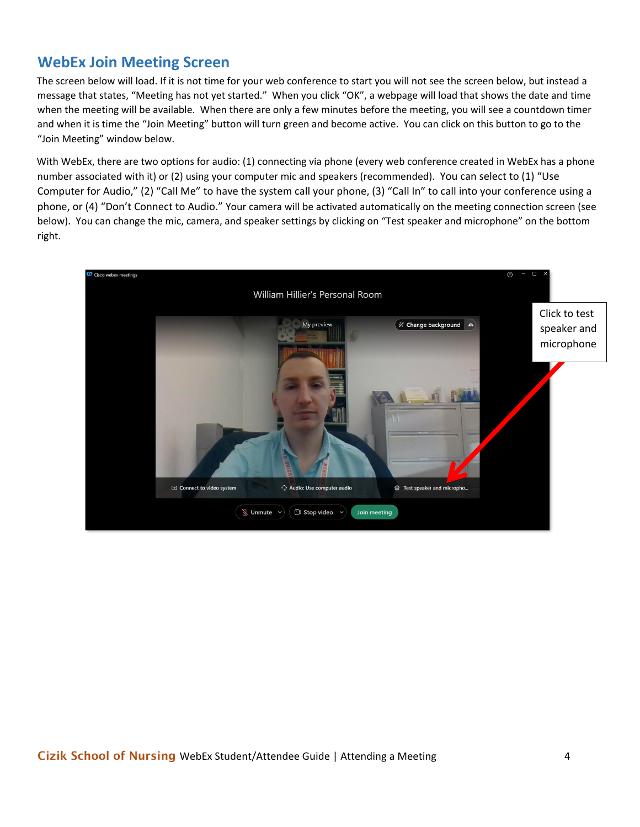## <span id="page-3-0"></span>**WebEx Join Meeting Screen**

The screen below will load. If it is not time for your web conference to start you will not see the screen below, but instead a message that states, "Meeting has not yet started." When you click "OK", a webpage will load that shows the date and time when the meeting will be available. When there are only a few minutes before the meeting, you will see a countdown timer and when it is time the "Join Meeting" button will turn green and become active. You can click on this button to go to the "Join Meeting" window below.

With WebEx, there are two options for audio: (1) connecting via phone (every web conference created in WebEx has a phone number associated with it) or (2) using your computer mic and speakers (recommended). You can select to (1) "Use Computer for Audio," (2) "Call Me" to have the system call your phone, (3) "Call In" to call into your conference using a phone, or (4) "Don't Connect to Audio." Your camera will be activated automatically on the meeting connection screen (see below). You can change the mic, camera, and speaker settings by clicking on "Test speaker and microphone" on the bottom right.

<span id="page-3-1"></span>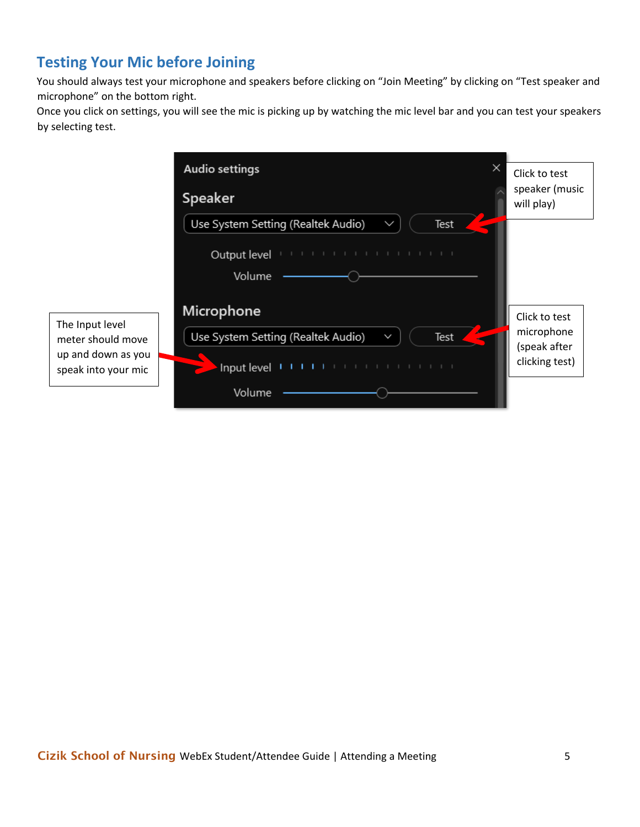# **Testing Your Mic before Joining**

You should always test your microphone and speakers before clicking on "Join Meeting" by clicking on "Test speaker and microphone" on the bottom right.

Once you click on settings, you will see the mic is picking up by watching the mic level bar and you can test your speakers by selecting test.

<span id="page-4-0"></span>

|                                                            | <b>Audio settings</b><br>×                                 | Click to test                                |
|------------------------------------------------------------|------------------------------------------------------------|----------------------------------------------|
|                                                            | Speaker                                                    | speaker (music<br>will play)                 |
|                                                            | Use System Setting (Realtek Audio)<br>Test<br>$\checkmark$ |                                              |
|                                                            | Output level<br>Volume                                     |                                              |
|                                                            | Microphone                                                 | Click to test                                |
| The Input level<br>meter should move<br>up and down as you | Use System Setting (Realtek Audio)<br>Test<br>Z            | microphone<br>(speak after<br>clicking test) |
| speak into your mic                                        | Input level                                                |                                              |
|                                                            | Volume                                                     |                                              |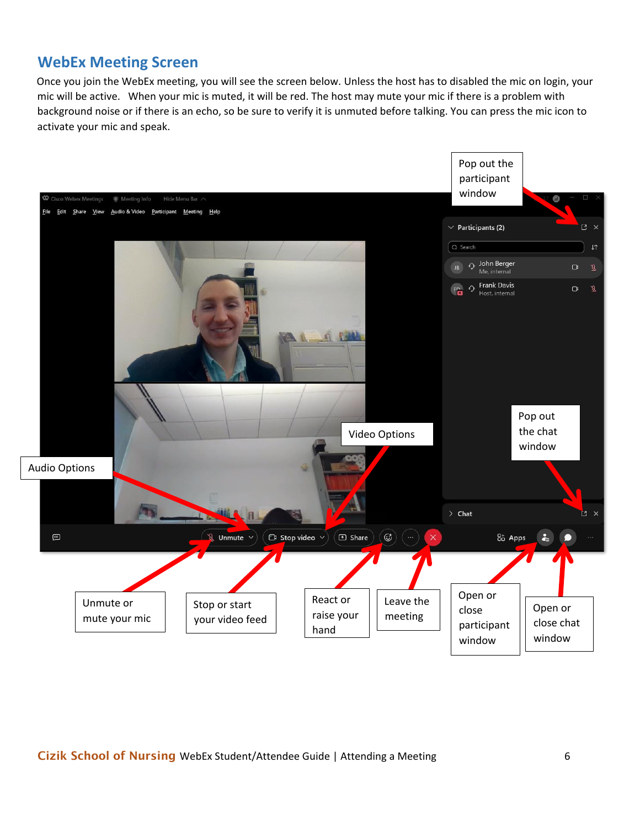## **WebEx Meeting Screen**

Once you join the WebEx meeting, you will see the screen below. Unless the host has to disabled the mic on login, your mic will be active. When your mic is muted, it will be red. The host may mute your mic if there is a problem with background noise or if there is an echo, so be sure to verify it is unmuted before talking. You can press the mic icon to activate your mic and speak.

<span id="page-5-0"></span>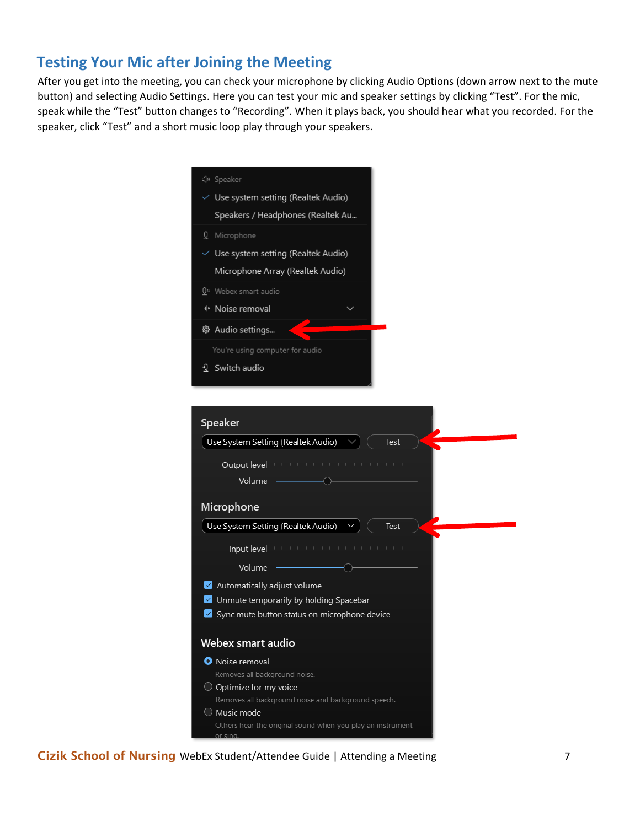## **Testing Your Mic after Joining the Meeting**

After you get into the meeting, you can check your microphone by clicking Audio Options (down arrow next to the mute button) and selecting Audio Settings. Here you can test your mic and speaker settings by clicking "Test". For the mic, speak while the "Test" button changes to "Recording". When it plays back, you should hear what you recorded. For the speaker, click "Test" and a short music loop play through your speakers.

| √» Speaker                                                                                                                                                                                                                           |
|--------------------------------------------------------------------------------------------------------------------------------------------------------------------------------------------------------------------------------------|
| $\vee$ Use system setting (Realtek Audio)                                                                                                                                                                                            |
|                                                                                                                                                                                                                                      |
| Speakers / Headphones (Realtek Au                                                                                                                                                                                                    |
| Q Microphone                                                                                                                                                                                                                         |
| $\vee$ Use system setting (Realtek Audio)                                                                                                                                                                                            |
| Microphone Array (Realtek Audio)                                                                                                                                                                                                     |
| Q <sup>"</sup> Webex smart audio                                                                                                                                                                                                     |
| <sup>+</sup> Noise removal                                                                                                                                                                                                           |
| ® Audio settings                                                                                                                                                                                                                     |
| You're using computer for audio                                                                                                                                                                                                      |
| 2 Switch audio                                                                                                                                                                                                                       |
|                                                                                                                                                                                                                                      |
|                                                                                                                                                                                                                                      |
|                                                                                                                                                                                                                                      |
| Speaker                                                                                                                                                                                                                              |
| Use System Setting (Realtek Audio)<br><b>Test</b>                                                                                                                                                                                    |
|                                                                                                                                                                                                                                      |
| Output level <b>International Property Control</b>                                                                                                                                                                                   |
| Volume                                                                                                                                                                                                                               |
| Microphone                                                                                                                                                                                                                           |
| Use System Setting (Realtek Audio)<br><b>Test</b>                                                                                                                                                                                    |
| Input level <b>International Contract Contract Contract Contract Contract Contract Contract Contract Contract Contract Contract Contract Contract Contract Contract Contract Contract Contract Contract Contract Contract Contra</b> |
| Volume                                                                                                                                                                                                                               |
|                                                                                                                                                                                                                                      |
| Automatically adjust volume                                                                                                                                                                                                          |
| Unmute temporarily by holding Spacebar<br>Sync mute button status on microphone device                                                                                                                                               |
|                                                                                                                                                                                                                                      |
| Webex smart audio                                                                                                                                                                                                                    |
| <b>O</b> Noise removal                                                                                                                                                                                                               |
| Removes all background noise.                                                                                                                                                                                                        |
| $\bigcirc$ Optimize for my voice                                                                                                                                                                                                     |
| Removes all background noise and background speech.                                                                                                                                                                                  |
| $\bigcirc$ Music mode                                                                                                                                                                                                                |
| Others hear the original sound when you play an instrument<br>or sing.                                                                                                                                                               |

Cizik School of Nursing WebEx Student/Attendee Guide | Attending a Meeting 7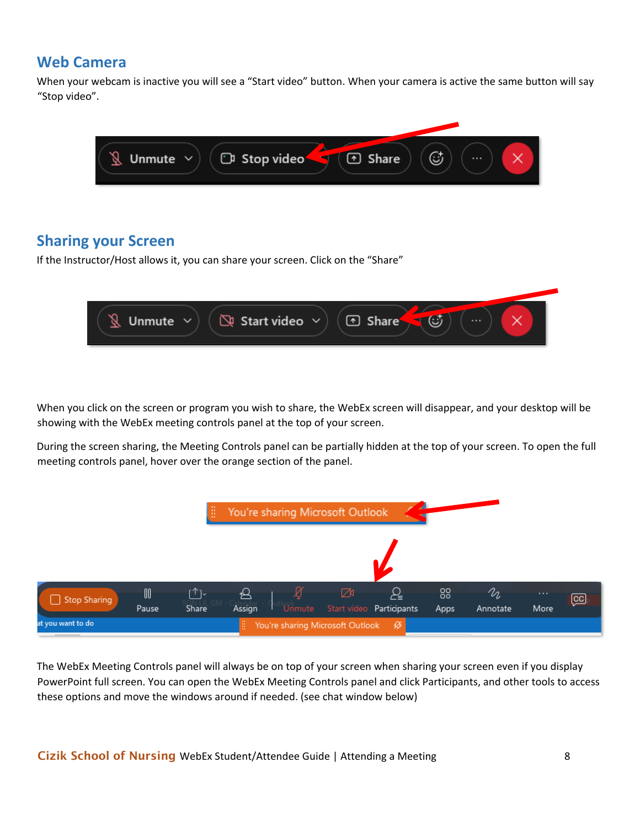### <span id="page-7-0"></span>**Web Camera**

When your webcam is inactive you will see a "Start video" button. When your camera is active the same button will say "Stop video".



# <span id="page-7-1"></span>**Sharing your Screen**

If the Instructor/Host allows it, you can share your screen. Click on the "Share"



When you click on the screen or program you wish to share, the WebEx screen will disappear, and your desktop will be showing with the WebEx meeting controls panel at the top of your screen.

During the screen sharing, the Meeting Controls panel can be partially hidden at the top of your screen. To open the full meeting controls panel, hover over the orange section of the panel.



The WebEx Meeting Controls panel will always be on top of your screen when sharing your screen even if you display PowerPoint full screen. You can open the WebEx Meeting Controls panel and click Participants, and other tools to access these options and move the windows around if needed. (see chat window below)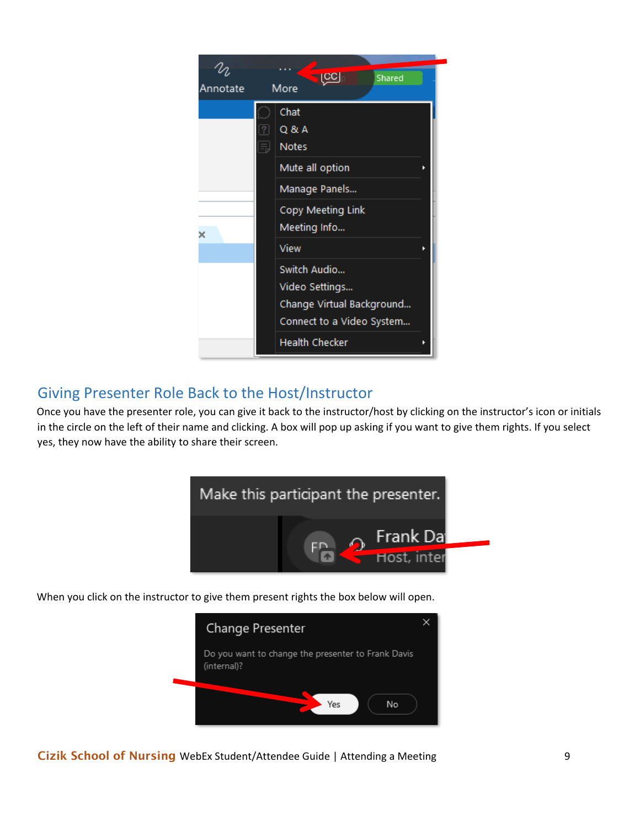

## Giving Presenter Role Back to the Host/Instructor

Once you have the presenter role, you can give it back to the instructor/host by clicking on the instructor's icon or initials in the circle on the left of their name and clicking. A box will pop up asking if you want to give them rights. If you select yes, they now have the ability to share their screen.



When you click on the instructor to give them present rights the box below will open.



Cizik School of Nursing WebEx Student/Attendee Guide | Attending a Meeting 9